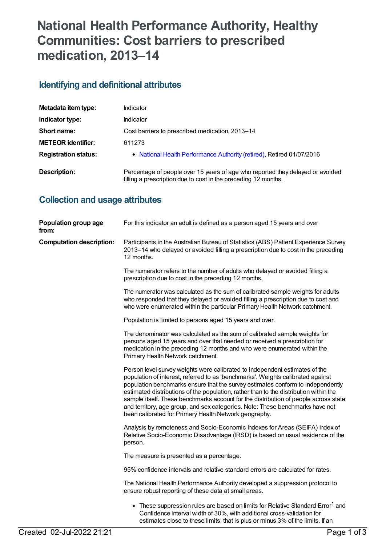# **National Health Performance Authority, Healthy Communities: Cost barriers to prescribed medication, 2013–14**

## **Identifying and definitional attributes**

| Metadata item type:         | <b>Indicator</b>                                                                                                                                 |
|-----------------------------|--------------------------------------------------------------------------------------------------------------------------------------------------|
| Indicator type:             | <b>Indicator</b>                                                                                                                                 |
| Short name:                 | Cost barriers to prescribed medication, 2013–14                                                                                                  |
| <b>METEOR identifier:</b>   | 611273                                                                                                                                           |
| <b>Registration status:</b> | • National Health Performance Authority (retired), Retired 01/07/2016                                                                            |
| Description:                | Percentage of people over 15 years of age who reported they delayed or avoided<br>filling a prescription due to cost in the preceding 12 months. |

## **Collection and usage attributes**

| Population group age<br>from:   | For this indicator an adult is defined as a person aged 15 years and over                                                                                                                                                                                                                                                                                                                                                                                                                                                                                                   |
|---------------------------------|-----------------------------------------------------------------------------------------------------------------------------------------------------------------------------------------------------------------------------------------------------------------------------------------------------------------------------------------------------------------------------------------------------------------------------------------------------------------------------------------------------------------------------------------------------------------------------|
| <b>Computation description:</b> | Participants in the Australian Bureau of Statistics (ABS) Patient Experience Survey<br>2013–14 who delayed or avoided filling a prescription due to cost in the preceding<br>12 months.                                                                                                                                                                                                                                                                                                                                                                                     |
|                                 | The numerator refers to the number of adults who delayed or avoided filling a<br>prescription due to cost in the preceding 12 months.                                                                                                                                                                                                                                                                                                                                                                                                                                       |
|                                 | The numerator was calculated as the sum of calibrated sample weights for adults<br>who responded that they delayed or avoided filling a prescription due to cost and<br>who were enumerated within the particular Primary Health Network catchment.                                                                                                                                                                                                                                                                                                                         |
|                                 | Population is limited to persons aged 15 years and over.                                                                                                                                                                                                                                                                                                                                                                                                                                                                                                                    |
|                                 | The denominator was calculated as the sum of calibrated sample weights for<br>persons aged 15 years and over that needed or received a prescription for<br>medication in the preceding 12 months and who were enumerated within the<br>Primary Health Network catchment.                                                                                                                                                                                                                                                                                                    |
|                                 | Person level survey weights were calibrated to independent estimates of the<br>population of interest, referred to as 'benchmarks'. Weights calibrated against<br>population benchmarks ensure that the survey estimates conform to independently<br>estimated distributions of the population, rather than to the distribution within the<br>sample itself. These benchmarks account for the distribution of people across state<br>and territory, age group, and sex categories. Note: These benchmarks have not<br>been calibrated for Primary Health Network geography. |
|                                 | Analysis by remoteness and Socio-Economic Indexes for Areas (SEIFA) Index of<br>Relative Socio-Economic Disadvantage (IRSD) is based on usual residence of the<br>person.                                                                                                                                                                                                                                                                                                                                                                                                   |
|                                 | The measure is presented as a percentage.                                                                                                                                                                                                                                                                                                                                                                                                                                                                                                                                   |
|                                 | 95% confidence intervals and relative standard errors are calculated for rates.                                                                                                                                                                                                                                                                                                                                                                                                                                                                                             |
|                                 | The National Health Performance Authority developed a suppression protocol to<br>ensure robust reporting of these data at small areas.                                                                                                                                                                                                                                                                                                                                                                                                                                      |
|                                 | • These suppression rules are based on limits for Relative Standard Error <sup>1</sup> and<br>Confidence Interval width of 30%, with additional cross-validation for<br>estimates close to these limits, that is plus or minus 3% of the limits. If an                                                                                                                                                                                                                                                                                                                      |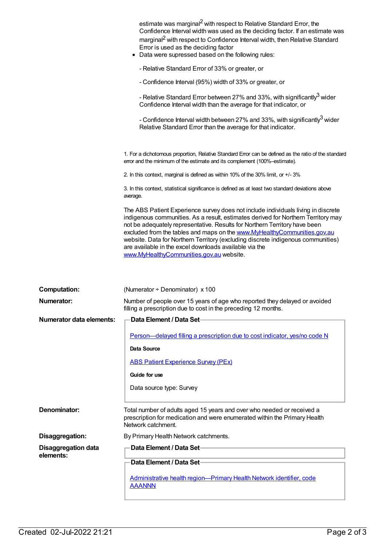|                                  | average.<br>The ABS Patient Experience survey does not include individuals living in discrete<br>indigenous communities. As a result, estimates derived for Northern Territory may<br>not be adequately representative. Results for Northern Territory have been<br>excluded from the tables and maps on the www.MyHealthyCommunities.gov.au<br>website. Data for Northern Territory (excluding discrete indigenous communities) |
|----------------------------------|----------------------------------------------------------------------------------------------------------------------------------------------------------------------------------------------------------------------------------------------------------------------------------------------------------------------------------------------------------------------------------------------------------------------------------|
|                                  | are available in the excel downloads available via the<br>www.MyHealthyCommunities.gov.au website.                                                                                                                                                                                                                                                                                                                               |
|                                  |                                                                                                                                                                                                                                                                                                                                                                                                                                  |
| <b>Computation:</b>              | (Numerator $\div$ Denominator) x 100                                                                                                                                                                                                                                                                                                                                                                                             |
| Numerator:                       | Number of people over 15 years of age who reported they delayed or avoided<br>filling a prescription due to cost in the preceding 12 months.                                                                                                                                                                                                                                                                                     |
| <b>Numerator data elements:</b>  | <b>Data Element / Data Set-</b>                                                                                                                                                                                                                                                                                                                                                                                                  |
|                                  |                                                                                                                                                                                                                                                                                                                                                                                                                                  |
|                                  | Person-delayed filling a prescription due to cost indicator, yes/no code N                                                                                                                                                                                                                                                                                                                                                       |
|                                  | Data Source                                                                                                                                                                                                                                                                                                                                                                                                                      |
|                                  | <b>ABS Patient Experience Survey (PEx)</b>                                                                                                                                                                                                                                                                                                                                                                                       |
|                                  |                                                                                                                                                                                                                                                                                                                                                                                                                                  |
|                                  | Guide for use                                                                                                                                                                                                                                                                                                                                                                                                                    |
|                                  | Data source type: Survey                                                                                                                                                                                                                                                                                                                                                                                                         |
| Denominator:                     | Total number of adults aged 15 years and over who needed or received a<br>prescription for medication and were enumerated within the Primary Health<br>Network catchment.                                                                                                                                                                                                                                                        |
|                                  |                                                                                                                                                                                                                                                                                                                                                                                                                                  |
| Disaggregation:                  | By Primary Health Network catchments.                                                                                                                                                                                                                                                                                                                                                                                            |
| Disaggregation data<br>elements: | Data Element / Data Set-                                                                                                                                                                                                                                                                                                                                                                                                         |
|                                  | Data Element / Data Set-                                                                                                                                                                                                                                                                                                                                                                                                         |
|                                  |                                                                                                                                                                                                                                                                                                                                                                                                                                  |
|                                  | Administrative health region-Primary Health Network identifier, code<br><b>AAANNN</b>                                                                                                                                                                                                                                                                                                                                            |